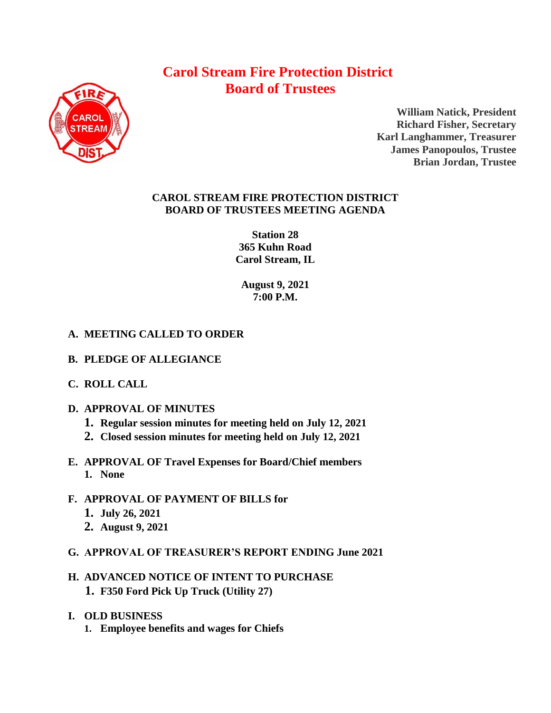# **Carol Stream Fire Protection District Board of Trustees**



**William Natick, President Richard Fisher, Secretary Karl Langhammer, Treasurer James Panopoulos, Trustee Brian Jordan, Trustee**

# **CAROL STREAM FIRE PROTECTION DISTRICT BOARD OF TRUSTEES MEETING AGENDA**

**Station 28 365 Kuhn Road Carol Stream, IL** 

**August 9, 2021 7:00 P.M.**

# **A. MEETING CALLED TO ORDER**

- **B. PLEDGE OF ALLEGIANCE**
- **C. ROLL CALL**
- **D. APPROVAL OF MINUTES**
	- **1. Regular session minutes for meeting held on July 12, 2021**
	- **2. Closed session minutes for meeting held on July 12, 2021**
- **E. APPROVAL OF Travel Expenses for Board/Chief members 1. None**
- **F. APPROVAL OF PAYMENT OF BILLS for**
	- **1. July 26, 2021**
	- **2. August 9, 2021**
- **G. APPROVAL OF TREASURER'S REPORT ENDING June 2021**
- **H. ADVANCED NOTICE OF INTENT TO PURCHASE 1. F350 Ford Pick Up Truck (Utility 27)**
- **I. OLD BUSINESS**
	- **1. Employee benefits and wages for Chiefs**